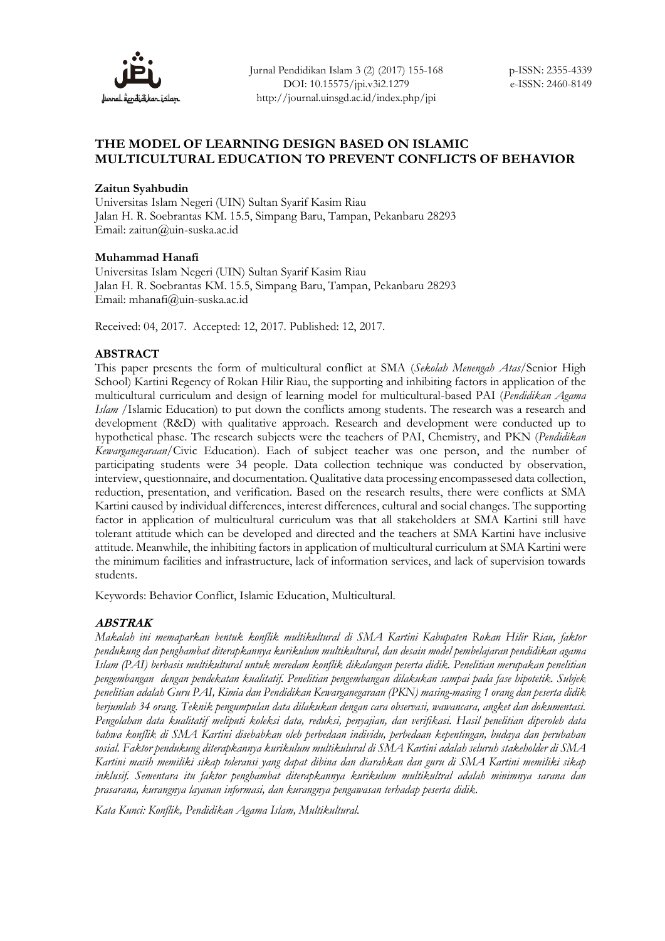

## **THE MODEL OF LEARNING DESIGN BASED ON ISLAMIC MULTICULTURAL EDUCATION TO PREVENT CONFLICTS OF BEHAVIOR**

### **Zaitun Syahbudin**

Universitas Islam Negeri (UIN) Sultan Syarif Kasim Riau Jalan H. R. Soebrantas KM. 15.5, Simpang Baru, Tampan, Pekanbaru 28293 Email: zaitun@uin-suska.ac.id

#### **Muhammad Hanafi**

Universitas Islam Negeri (UIN) Sultan Syarif Kasim Riau Jalan H. R. Soebrantas KM. 15.5, Simpang Baru, Tampan, Pekanbaru 28293 Email: mhanafi@uin-suska.ac.id

Received: 04, 2017. Accepted: 12, 2017. Published: 12, 2017.

### **ABSTRACT**

This paper presents the form of multicultural conflict at SMA (*Sekolah Menengah Atas*/Senior High School) Kartini Regency of Rokan Hilir Riau, the supporting and inhibiting factors in application of the multicultural curriculum and design of learning model for multicultural-based PAI (*Pendidikan Agama Islam* /Islamic Education) to put down the conflicts among students. The research was a research and development (R&D) with qualitative approach. Research and development were conducted up to hypothetical phase. The research subjects were the teachers of PAI, Chemistry, and PKN (*Pendidikan Kewarganegaraan*/Civic Education). Each of subject teacher was one person, and the number of participating students were 34 people. Data collection technique was conducted by observation, interview, questionnaire, and documentation. Qualitative data processing encompassesed data collection, reduction, presentation, and verification. Based on the research results, there were conflicts at SMA Kartini caused by individual differences, interest differences, cultural and social changes. The supporting factor in application of multicultural curriculum was that all stakeholders at SMA Kartini still have tolerant attitude which can be developed and directed and the teachers at SMA Kartini have inclusive attitude. Meanwhile, the inhibiting factors in application of multicultural curriculum at SMA Kartini were the minimum facilities and infrastructure, lack of information services, and lack of supervision towards students.

Keywords: Behavior Conflict, Islamic Education, Multicultural.

### **ABSTRAK**

*Makalah ini memaparkan bentuk konflik multikultural di SMA Kartini Kabupaten Rokan Hilir Riau, faktor pendukung dan penghambat diterapkannya kurikulum multikultural, dan desain model pembelajaran pendidikan agama Islam (PAI) berbasis multikultural untuk meredam konflik dikalangan peserta didik. Penelitian merupakan penelitian pengembangan dengan pendekatan kualitatif. Penelitian pengembangan dilakukan sampai pada fase hipotetik. Subjek penelitian adalah Guru PAI, Kimia dan Pendidikan Kewarganegaraan (PKN) masing-masing 1 orang dan peserta didik berjumlah 34 orang. Teknik pengumpulan data dilakukan dengan cara observasi, wawancara, angket dan dokumentasi. Pengolahan data kualitatif meliputi koleksi data, reduksi, penyajian, dan verifikasi. Hasil penelitian diperoleh data bahwa konflik di SMA Kartini disebabkan oleh perbedaan individu, perbedaan kepentingan, budaya dan perubahan sosial. Faktor pendukung diterapkannya kurikulum multikulural di SMA Kartini adalah seluruh stakeholder di SMA Kartini masih memiliki sikap toleransi yang dapat dibina dan diarahkan dan guru di SMA Kartini memiliki sikap inklusif. Sementara itu faktor penghambat diterapkannya kurikulum multikultral adalah minimnya sarana dan prasarana, kurangnya layanan informasi, dan kurangnya pengawasan terhadap peserta didik.* 

*Kata Kunci: Konflik, Pendidikan Agama Islam, Multikultural.*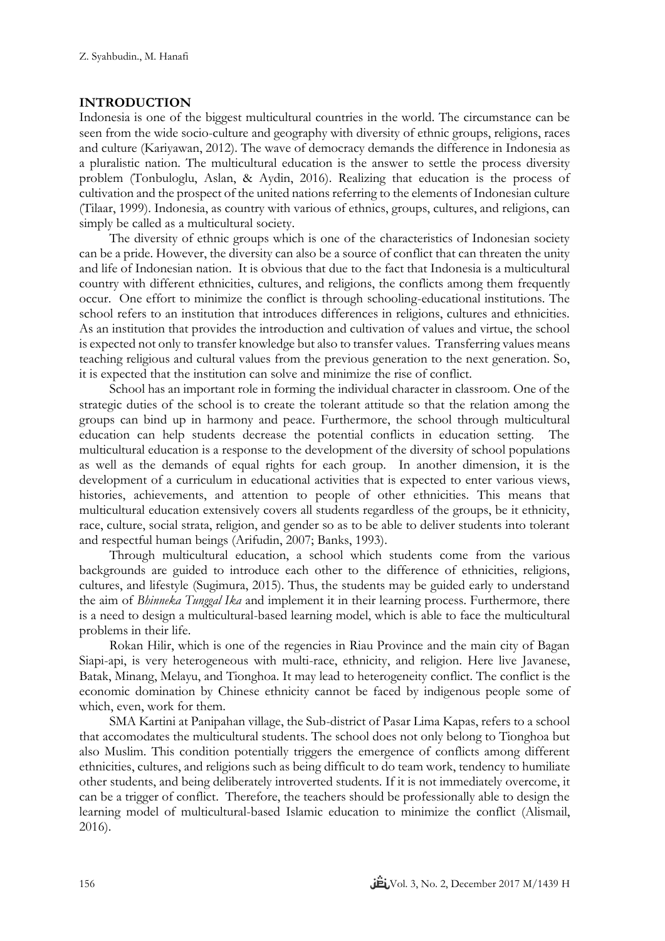# **INTRODUCTION**

Indonesia is one of the biggest multicultural countries in the world. The circumstance can be seen from the wide socio-culture and geography with diversity of ethnic groups, religions, races and culture (Kariyawan, 2012). The wave of democracy demands the difference in Indonesia as a pluralistic nation. The multicultural education is the answer to settle the process diversity problem (Tonbuloglu, Aslan, & Aydin, 2016). Realizing that education is the process of cultivation and the prospect of the united nations referring to the elements of Indonesian culture (Tilaar, 1999). Indonesia, as country with various of ethnics, groups, cultures, and religions, can simply be called as a multicultural society.

The diversity of ethnic groups which is one of the characteristics of Indonesian society can be a pride. However, the diversity can also be a source of conflict that can threaten the unity and life of Indonesian nation. It is obvious that due to the fact that Indonesia is a multicultural country with different ethnicities, cultures, and religions, the conflicts among them frequently occur. One effort to minimize the conflict is through schooling-educational institutions. The school refers to an institution that introduces differences in religions, cultures and ethnicities. As an institution that provides the introduction and cultivation of values and virtue, the school is expected not only to transfer knowledge but also to transfer values. Transferring values means teaching religious and cultural values from the previous generation to the next generation. So, it is expected that the institution can solve and minimize the rise of conflict.

School has an important role in forming the individual character in classroom. One of the strategic duties of the school is to create the tolerant attitude so that the relation among the groups can bind up in harmony and peace. Furthermore, the school through multicultural education can help students decrease the potential conflicts in education setting. The multicultural education is a response to the development of the diversity of school populations as well as the demands of equal rights for each group. In another dimension, it is the development of a curriculum in educational activities that is expected to enter various views, histories, achievements, and attention to people of other ethnicities. This means that multicultural education extensively covers all students regardless of the groups, be it ethnicity, race, culture, social strata, religion, and gender so as to be able to deliver students into tolerant and respectful human beings (Arifudin, 2007; Banks, 1993).

Through multicultural education, a school which students come from the various backgrounds are guided to introduce each other to the difference of ethnicities, religions, cultures, and lifestyle (Sugimura, 2015). Thus, the students may be guided early to understand the aim of *Bhinneka Tunggal Ika* and implement it in their learning process. Furthermore, there is a need to design a multicultural-based learning model, which is able to face the multicultural problems in their life.

Rokan Hilir, which is one of the regencies in Riau Province and the main city of Bagan Siapi-api, is very heterogeneous with multi-race, ethnicity, and religion. Here live Javanese, Batak, Minang, Melayu, and Tionghoa. It may lead to heterogeneity conflict. The conflict is the economic domination by Chinese ethnicity cannot be faced by indigenous people some of which, even, work for them.

SMA Kartini at Panipahan village, the Sub-district of Pasar Lima Kapas, refers to a school that accomodates the multicultural students. The school does not only belong to Tionghoa but also Muslim. This condition potentially triggers the emergence of conflicts among different ethnicities, cultures, and religions such as being difficult to do team work, tendency to humiliate other students, and being deliberately introverted students. If it is not immediately overcome, it can be a trigger of conflict. Therefore, the teachers should be professionally able to design the learning model of multicultural-based Islamic education to minimize the conflict (Alismail, 2016).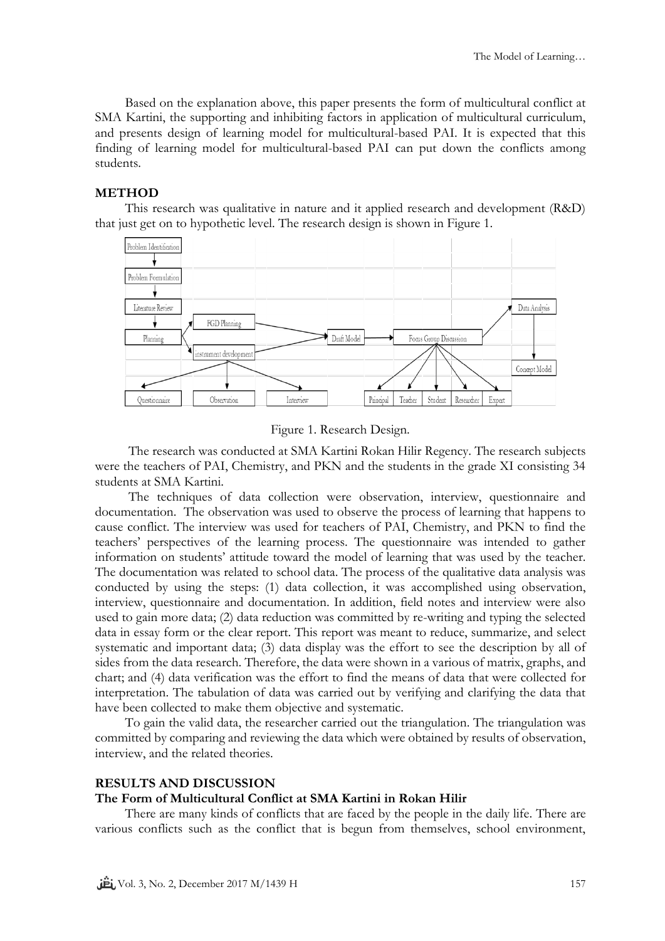Based on the explanation above, this paper presents the form of multicultural conflict at SMA Kartini, the supporting and inhibiting factors in application of multicultural curriculum, and presents design of learning model for multicultural-based PAI. It is expected that this finding of learning model for multicultural-based PAI can put down the conflicts among students.

### **METHOD**

This research was qualitative in nature and it applied research and development (R&D) that just get on to hypothetic level. The research design is shown in Figure 1.



Figure 1. Research Design.

The research was conducted at SMA Kartini Rokan Hilir Regency. The research subjects were the teachers of PAI, Chemistry, and PKN and the students in the grade XI consisting 34 students at SMA Kartini.

The techniques of data collection were observation, interview, questionnaire and documentation. The observation was used to observe the process of learning that happens to cause conflict. The interview was used for teachers of PAI, Chemistry, and PKN to find the teachers' perspectives of the learning process. The questionnaire was intended to gather information on students' attitude toward the model of learning that was used by the teacher. The documentation was related to school data. The process of the qualitative data analysis was conducted by using the steps: (1) data collection, it was accomplished using observation, interview, questionnaire and documentation. In addition, field notes and interview were also used to gain more data; (2) data reduction was committed by re-writing and typing the selected data in essay form or the clear report. This report was meant to reduce, summarize, and select systematic and important data; (3) data display was the effort to see the description by all of sides from the data research. Therefore, the data were shown in a various of matrix, graphs, and chart; and (4) data verification was the effort to find the means of data that were collected for interpretation. The tabulation of data was carried out by verifying and clarifying the data that have been collected to make them objective and systematic.

To gain the valid data, the researcher carried out the triangulation. The triangulation was committed by comparing and reviewing the data which were obtained by results of observation, interview, and the related theories.

#### **RESULTS AND DISCUSSION**

#### **The Form of Multicultural Conflict at SMA Kartini in Rokan Hilir**

There are many kinds of conflicts that are faced by the people in the daily life. There are various conflicts such as the conflict that is begun from themselves, school environment,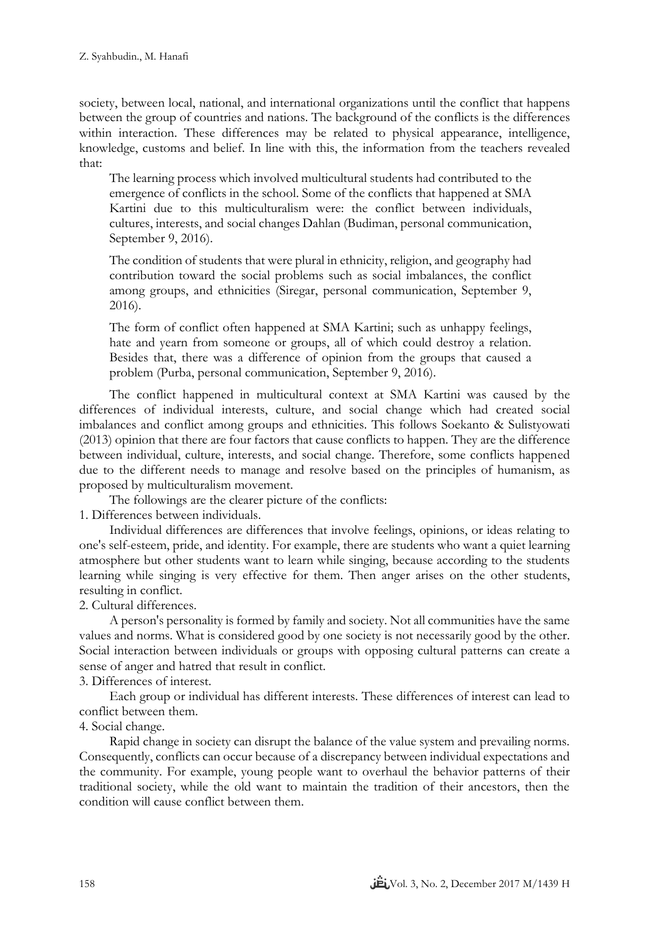society, between local, national, and international organizations until the conflict that happens between the group of countries and nations. The background of the conflicts is the differences within interaction. These differences may be related to physical appearance, intelligence, knowledge, customs and belief. In line with this, the information from the teachers revealed that:

The learning process which involved multicultural students had contributed to the emergence of conflicts in the school. Some of the conflicts that happened at SMA Kartini due to this multiculturalism were: the conflict between individuals, cultures, interests, and social changes Dahlan (Budiman, personal communication, September 9, 2016).

The condition of students that were plural in ethnicity, religion, and geography had contribution toward the social problems such as social imbalances, the conflict among groups, and ethnicities (Siregar, personal communication, September 9, 2016).

The form of conflict often happened at SMA Kartini; such as unhappy feelings, hate and yearn from someone or groups, all of which could destroy a relation. Besides that, there was a difference of opinion from the groups that caused a problem (Purba, personal communication, September 9, 2016).

The conflict happened in multicultural context at SMA Kartini was caused by the differences of individual interests, culture, and social change which had created social imbalances and conflict among groups and ethnicities. This follows Soekanto & Sulistyowati (2013) opinion that there are four factors that cause conflicts to happen. They are the difference between individual, culture, interests, and social change. Therefore, some conflicts happened due to the different needs to manage and resolve based on the principles of humanism, as proposed by multiculturalism movement.

The followings are the clearer picture of the conflicts:

1. Differences between individuals.

Individual differences are differences that involve feelings, opinions, or ideas relating to one's self-esteem, pride, and identity. For example, there are students who want a quiet learning atmosphere but other students want to learn while singing, because according to the students learning while singing is very effective for them. Then anger arises on the other students, resulting in conflict.

## 2. Cultural differences.

A person's personality is formed by family and society. Not all communities have the same values and norms. What is considered good by one society is not necessarily good by the other. Social interaction between individuals or groups with opposing cultural patterns can create a sense of anger and hatred that result in conflict.

3. Differences of interest.

Each group or individual has different interests. These differences of interest can lead to conflict between them.

# 4. Social change.

Rapid change in society can disrupt the balance of the value system and prevailing norms. Consequently, conflicts can occur because of a discrepancy between individual expectations and the community. For example, young people want to overhaul the behavior patterns of their traditional society, while the old want to maintain the tradition of their ancestors, then the condition will cause conflict between them.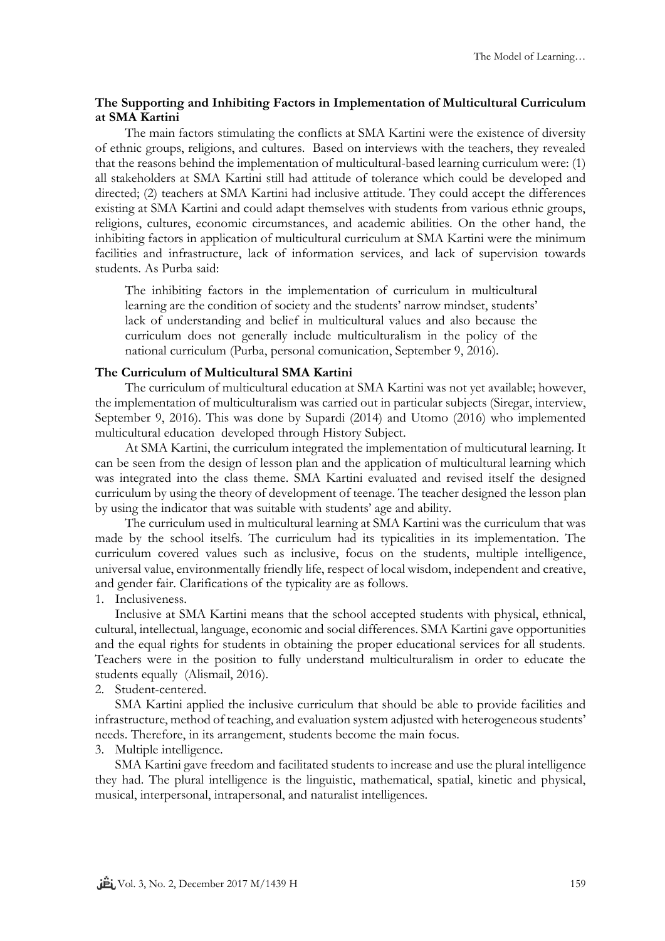## **The Supporting and Inhibiting Factors in Implementation of Multicultural Curriculum at SMA Kartini**

The main factors stimulating the conflicts at SMA Kartini were the existence of diversity of ethnic groups, religions, and cultures. Based on interviews with the teachers, they revealed that the reasons behind the implementation of multicultural-based learning curriculum were: (1) all stakeholders at SMA Kartini still had attitude of tolerance which could be developed and directed; (2) teachers at SMA Kartini had inclusive attitude. They could accept the differences existing at SMA Kartini and could adapt themselves with students from various ethnic groups, religions, cultures, economic circumstances, and academic abilities. On the other hand, the inhibiting factors in application of multicultural curriculum at SMA Kartini were the minimum facilities and infrastructure, lack of information services, and lack of supervision towards students. As Purba said:

The inhibiting factors in the implementation of curriculum in multicultural learning are the condition of society and the students' narrow mindset, students' lack of understanding and belief in multicultural values and also because the curriculum does not generally include multiculturalism in the policy of the national curriculum (Purba, personal comunication, September 9, 2016).

### **The Curriculum of Multicultural SMA Kartini**

The curriculum of multicultural education at SMA Kartini was not yet available; however, the implementation of multiculturalism was carried out in particular subjects (Siregar, interview, September 9, 2016). This was done by Supardi (2014) and Utomo (2016) who implemented multicultural education developed through History Subject.

At SMA Kartini, the curriculum integrated the implementation of multicutural learning. It can be seen from the design of lesson plan and the application of multicultural learning which was integrated into the class theme. SMA Kartini evaluated and revised itself the designed curriculum by using the theory of development of teenage. The teacher designed the lesson plan by using the indicator that was suitable with students' age and ability.

The curriculum used in multicultural learning at SMA Kartini was the curriculum that was made by the school itselfs. The curriculum had its typicalities in its implementation. The curriculum covered values such as inclusive, focus on the students, multiple intelligence, universal value, environmentally friendly life, respect of local wisdom, independent and creative, and gender fair. Clarifications of the typicality are as follows.

1. Inclusiveness.

Inclusive at SMA Kartini means that the school accepted students with physical, ethnical, cultural, intellectual, language, economic and social differences. SMA Kartini gave opportunities and the equal rights for students in obtaining the proper educational services for all students. Teachers were in the position to fully understand multiculturalism in order to educate the students equally (Alismail, 2016).

2. Student-centered.

SMA Kartini applied the inclusive curriculum that should be able to provide facilities and infrastructure, method of teaching, and evaluation system adjusted with heterogeneous students' needs. Therefore, in its arrangement, students become the main focus.

3. Multiple intelligence.

SMA Kartini gave freedom and facilitated students to increase and use the plural intelligence they had. The plural intelligence is the linguistic, mathematical, spatial, kinetic and physical, musical, interpersonal, intrapersonal, and naturalist intelligences.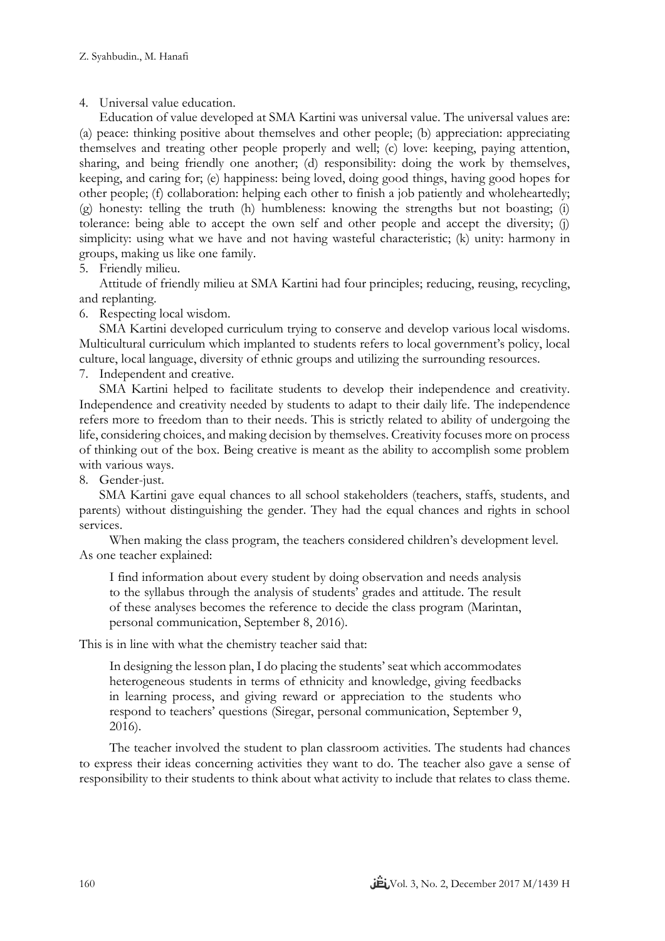4. Universal value education.

Education of value developed at SMA Kartini was universal value. The universal values are: (a) peace: thinking positive about themselves and other people; (b) appreciation: appreciating themselves and treating other people properly and well; (c) love: keeping, paying attention, sharing, and being friendly one another; (d) responsibility: doing the work by themselves, keeping, and caring for; (e) happiness: being loved, doing good things, having good hopes for other people; (f) collaboration: helping each other to finish a job patiently and wholeheartedly; (g) honesty: telling the truth (h) humbleness: knowing the strengths but not boasting; (i) tolerance: being able to accept the own self and other people and accept the diversity; (j) simplicity: using what we have and not having wasteful characteristic; (k) unity: harmony in groups, making us like one family.

5. Friendly milieu.

Attitude of friendly milieu at SMA Kartini had four principles; reducing, reusing, recycling, and replanting.

6. Respecting local wisdom.

SMA Kartini developed curriculum trying to conserve and develop various local wisdoms. Multicultural curriculum which implanted to students refers to local government's policy, local culture, local language, diversity of ethnic groups and utilizing the surrounding resources.

7. Independent and creative.

SMA Kartini helped to facilitate students to develop their independence and creativity. Independence and creativity needed by students to adapt to their daily life. The independence refers more to freedom than to their needs. This is strictly related to ability of undergoing the life, considering choices, and making decision by themselves. Creativity focuses more on process of thinking out of the box. Being creative is meant as the ability to accomplish some problem with various ways.

8. Gender-just.

SMA Kartini gave equal chances to all school stakeholders (teachers, staffs, students, and parents) without distinguishing the gender. They had the equal chances and rights in school services.

When making the class program, the teachers considered children's development level. As one teacher explained:

I find information about every student by doing observation and needs analysis to the syllabus through the analysis of students' grades and attitude. The result of these analyses becomes the reference to decide the class program (Marintan, personal communication, September 8, 2016).

This is in line with what the chemistry teacher said that:

In designing the lesson plan, I do placing the students' seat which accommodates heterogeneous students in terms of ethnicity and knowledge, giving feedbacks in learning process, and giving reward or appreciation to the students who respond to teachers' questions (Siregar, personal communication, September 9, 2016).

The teacher involved the student to plan classroom activities. The students had chances to express their ideas concerning activities they want to do. The teacher also gave a sense of responsibility to their students to think about what activity to include that relates to class theme.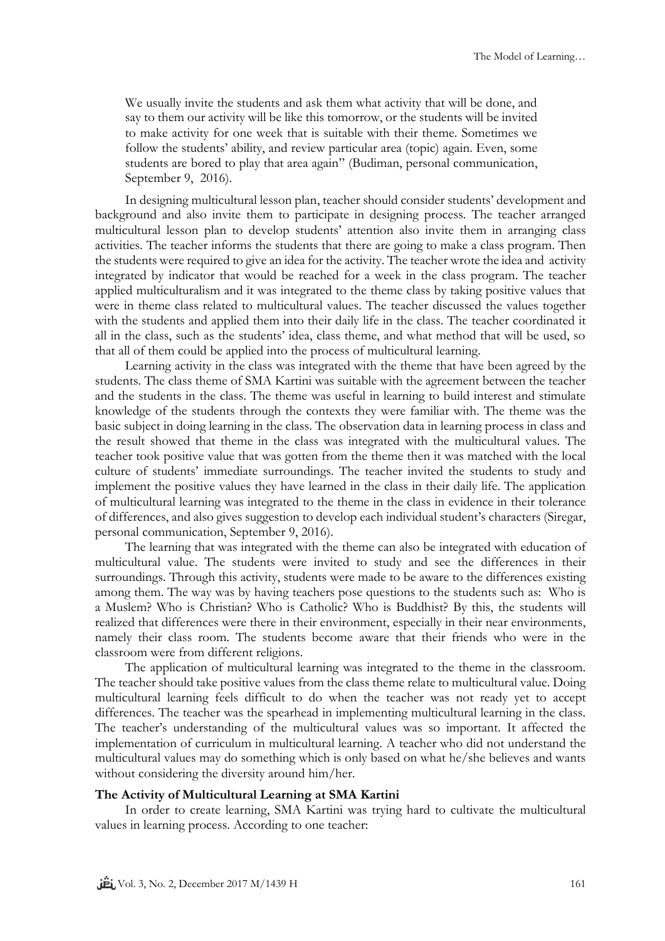We usually invite the students and ask them what activity that will be done, and say to them our activity will be like this tomorrow, or the students will be invited to make activity for one week that is suitable with their theme. Sometimes we follow the students' ability, and review particular area (topic) again. Even, some students are bored to play that area again" (Budiman, personal communication, September 9, 2016).

In designing multicultural lesson plan, teacher should consider students' development and background and also invite them to participate in designing process. The teacher arranged multicultural lesson plan to develop students' attention also invite them in arranging class activities. The teacher informs the students that there are going to make a class program. Then the students were required to give an idea for the activity. The teacher wrote the idea and activity integrated by indicator that would be reached for a week in the class program. The teacher applied multiculturalism and it was integrated to the theme class by taking positive values that were in theme class related to multicultural values. The teacher discussed the values together with the students and applied them into their daily life in the class. The teacher coordinated it all in the class, such as the students' idea, class theme, and what method that will be used, so that all of them could be applied into the process of multicultural learning.

Learning activity in the class was integrated with the theme that have been agreed by the students. The class theme of SMA Kartini was suitable with the agreement between the teacher and the students in the class. The theme was useful in learning to build interest and stimulate knowledge of the students through the contexts they were familiar with. The theme was the basic subject in doing learning in the class. The observation data in learning process in class and the result showed that theme in the class was integrated with the multicultural values. The teacher took positive value that was gotten from the theme then it was matched with the local culture of students' immediate surroundings. The teacher invited the students to study and implement the positive values they have learned in the class in their daily life. The application of multicultural learning was integrated to the theme in the class in evidence in their tolerance of differences, and also gives suggestion to develop each individual student's characters (Siregar, personal communication, September 9, 2016).

The learning that was integrated with the theme can also be integrated with education of multicultural value. The students were invited to study and see the differences in their surroundings. Through this activity, students were made to be aware to the differences existing among them. The way was by having teachers pose questions to the students such as: Who is a Muslem? Who is Christian? Who is Catholic? Who is Buddhist? By this, the students will realized that differences were there in their environment, especially in their near environments, namely their class room. The students become aware that their friends who were in the classroom were from different religions.

The application of multicultural learning was integrated to the theme in the classroom. The teacher should take positive values from the class theme relate to multicultural value. Doing multicultural learning feels difficult to do when the teacher was not ready yet to accept differences. The teacher was the spearhead in implementing multicultural learning in the class. The teacher's understanding of the multicultural values was so important. It affected the implementation of curriculum in multicultural learning. A teacher who did not understand the multicultural values may do something which is only based on what he/she believes and wants without considering the diversity around him/her.

#### **The Activity of Multicultural Learning at SMA Kartini**

In order to create learning, SMA Kartini was trying hard to cultivate the multicultural values in learning process. According to one teacher: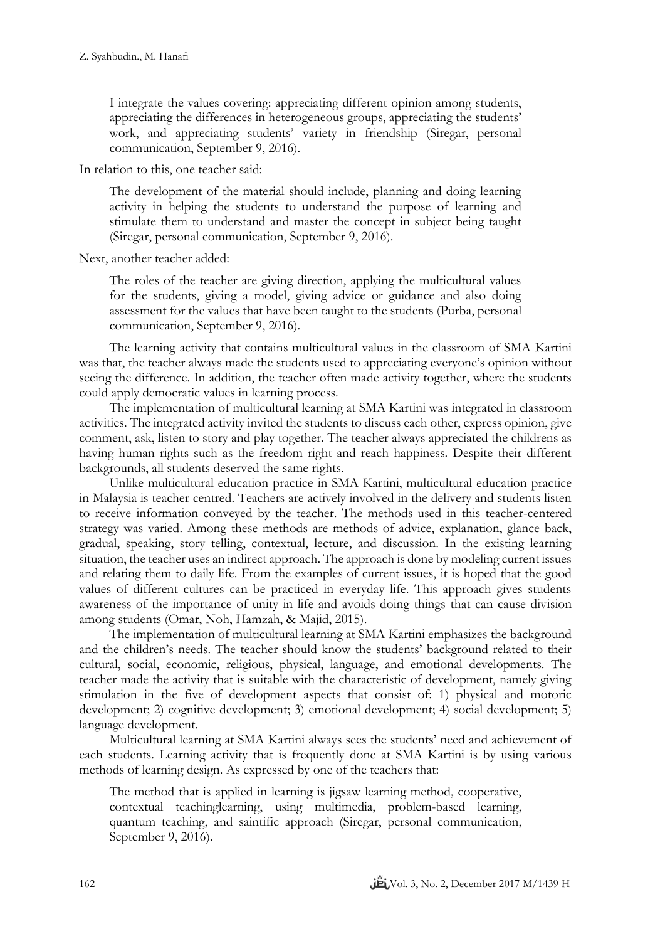I integrate the values covering: appreciating different opinion among students, appreciating the differences in heterogeneous groups, appreciating the students' work, and appreciating students' variety in friendship (Siregar, personal communication, September 9, 2016).

In relation to this, one teacher said:

The development of the material should include, planning and doing learning activity in helping the students to understand the purpose of learning and stimulate them to understand and master the concept in subject being taught (Siregar, personal communication, September 9, 2016).

Next, another teacher added:

The roles of the teacher are giving direction, applying the multicultural values for the students, giving a model, giving advice or guidance and also doing assessment for the values that have been taught to the students (Purba, personal communication, September 9, 2016).

The learning activity that contains multicultural values in the classroom of SMA Kartini was that, the teacher always made the students used to appreciating everyone's opinion without seeing the difference. In addition, the teacher often made activity together, where the students could apply democratic values in learning process.

The implementation of multicultural learning at SMA Kartini was integrated in classroom activities. The integrated activity invited the students to discuss each other, express opinion, give comment, ask, listen to story and play together. The teacher always appreciated the childrens as having human rights such as the freedom right and reach happiness. Despite their different backgrounds, all students deserved the same rights.

Unlike multicultural education practice in SMA Kartini, multicultural education practice in Malaysia is teacher centred. Teachers are actively involved in the delivery and students listen to receive information conveyed by the teacher. The methods used in this teacher-centered strategy was varied. Among these methods are methods of advice, explanation, glance back, gradual, speaking, story telling, contextual, lecture, and discussion. In the existing learning situation, the teacher uses an indirect approach. The approach is done by modeling current issues and relating them to daily life. From the examples of current issues, it is hoped that the good values of different cultures can be practiced in everyday life. This approach gives students awareness of the importance of unity in life and avoids doing things that can cause division among students (Omar, Noh, Hamzah, & Majid, 2015).

The implementation of multicultural learning at SMA Kartini emphasizes the background and the children's needs. The teacher should know the students' background related to their cultural, social, economic, religious, physical, language, and emotional developments. The teacher made the activity that is suitable with the characteristic of development, namely giving stimulation in the five of development aspects that consist of: 1) physical and motoric development; 2) cognitive development; 3) emotional development; 4) social development; 5) language development.

Multicultural learning at SMA Kartini always sees the students' need and achievement of each students. Learning activity that is frequently done at SMA Kartini is by using various methods of learning design. As expressed by one of the teachers that:

The method that is applied in learning is jigsaw learning method, cooperative, contextual teachinglearning, using multimedia, problem-based learning, quantum teaching, and saintific approach (Siregar, personal communication, September 9, 2016).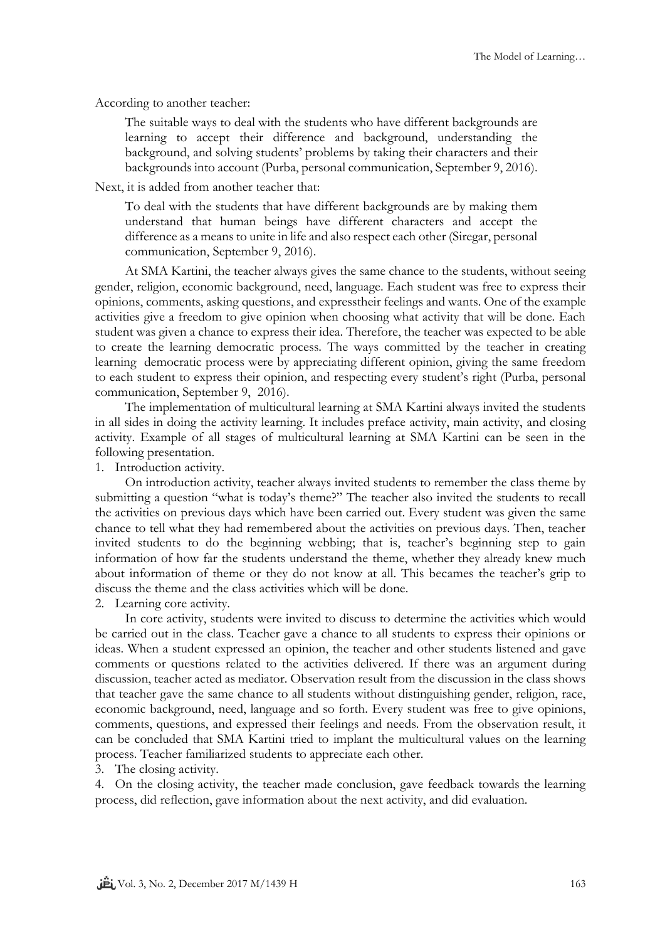According to another teacher:

The suitable ways to deal with the students who have different backgrounds are learning to accept their difference and background, understanding the background, and solving students' problems by taking their characters and their backgrounds into account (Purba, personal communication, September 9, 2016).

Next, it is added from another teacher that:

To deal with the students that have different backgrounds are by making them understand that human beings have different characters and accept the difference as a means to unite in life and also respect each other (Siregar, personal communication, September 9, 2016).

At SMA Kartini, the teacher always gives the same chance to the students, without seeing gender, religion, economic background, need, language. Each student was free to express their opinions, comments, asking questions, and expresstheir feelings and wants. One of the example activities give a freedom to give opinion when choosing what activity that will be done. Each student was given a chance to express their idea. Therefore, the teacher was expected to be able to create the learning democratic process. The ways committed by the teacher in creating learning democratic process were by appreciating different opinion, giving the same freedom to each student to express their opinion, and respecting every student's right (Purba, personal communication, September 9, 2016).

The implementation of multicultural learning at SMA Kartini always invited the students in all sides in doing the activity learning. It includes preface activity, main activity, and closing activity. Example of all stages of multicultural learning at SMA Kartini can be seen in the following presentation.

1. Introduction activity.

On introduction activity, teacher always invited students to remember the class theme by submitting a question "what is today's theme?" The teacher also invited the students to recall the activities on previous days which have been carried out. Every student was given the same chance to tell what they had remembered about the activities on previous days. Then, teacher invited students to do the beginning webbing; that is, teacher's beginning step to gain information of how far the students understand the theme, whether they already knew much about information of theme or they do not know at all. This becames the teacher's grip to discuss the theme and the class activities which will be done.

2. Learning core activity.

In core activity, students were invited to discuss to determine the activities which would be carried out in the class. Teacher gave a chance to all students to express their opinions or ideas. When a student expressed an opinion, the teacher and other students listened and gave comments or questions related to the activities delivered. If there was an argument during discussion, teacher acted as mediator. Observation result from the discussion in the class shows that teacher gave the same chance to all students without distinguishing gender, religion, race, economic background, need, language and so forth. Every student was free to give opinions, comments, questions, and expressed their feelings and needs. From the observation result, it can be concluded that SMA Kartini tried to implant the multicultural values on the learning process. Teacher familiarized students to appreciate each other.

3. The closing activity.

4. On the closing activity, the teacher made conclusion, gave feedback towards the learning process, did reflection, gave information about the next activity, and did evaluation.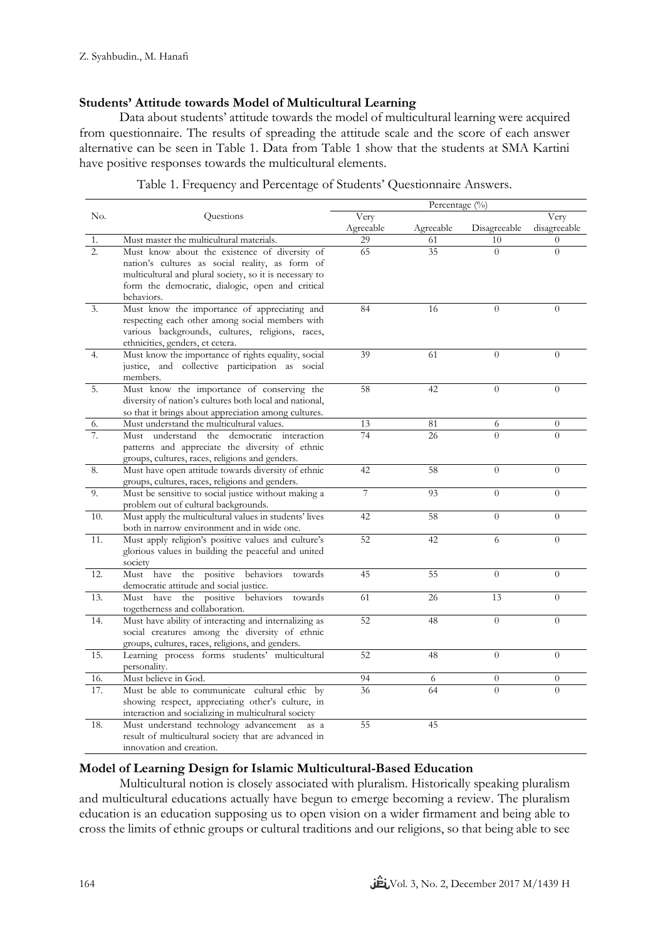## **Students' Attitude towards Model of Multicultural Learning**

Data about students' attitude towards the model of multicultural learning were acquired from questionnaire. The results of spreading the attitude scale and the score of each answer alternative can be seen in Table 1. Data from Table 1 show that the students at SMA Kartini have positive responses towards the multicultural elements.

|                  |                                                                                              | Percentage (%) |           |                |                |
|------------------|----------------------------------------------------------------------------------------------|----------------|-----------|----------------|----------------|
| No.              | Questions                                                                                    | Very           |           |                | Very           |
|                  |                                                                                              | Agreeable      | Agreeable | Disagreeable   | disagreeable   |
| 1.               | Must master the multicultural materials.                                                     | 29             | 61        | 10             | $\Omega$       |
| $\overline{2}$ . | Must know about the existence of diversity of                                                | 65             | 35        | $\Omega$       | $\Omega$       |
|                  | nation's cultures as social reality, as form of                                              |                |           |                |                |
|                  | multicultural and plural society, so it is necessary to                                      |                |           |                |                |
|                  | form the democratic, dialogic, open and critical                                             |                |           |                |                |
|                  | behaviors.                                                                                   |                |           |                |                |
| 3.               | Must know the importance of appreciating and                                                 | 84             | 16        | $\overline{0}$ | $\theta$       |
|                  | respecting each other among social members with                                              |                |           |                |                |
|                  | various backgrounds, cultures, religions, races,                                             |                |           |                |                |
|                  | ethnicities, genders, et cetera.                                                             |                |           |                |                |
| 4.               | Must know the importance of rights equality, social                                          | 39             | 61        | $\overline{0}$ | $\Omega$       |
|                  | justice, and collective participation as social                                              |                |           |                |                |
|                  | members.                                                                                     |                |           |                |                |
| 5.               | Must know the importance of conserving the                                                   | 58             | 42        | $\theta$       | $\overline{0}$ |
|                  | diversity of nation's cultures both local and national,                                      |                |           |                |                |
|                  | so that it brings about appreciation among cultures.                                         |                |           |                |                |
| 6.               | Must understand the multicultural values.                                                    | 13             | 81        | 6              | $\overline{0}$ |
| 7.               | understand the democratic interaction<br>Must                                                | 74             | 26        | $\overline{0}$ | $\overline{0}$ |
|                  | patterns and appreciate the diversity of ethnic                                              |                |           |                |                |
|                  | groups, cultures, races, religions and genders.                                              | 42             | 58        | $\theta$       | $\overline{0}$ |
| 8.               | Must have open attitude towards diversity of ethnic                                          |                |           |                |                |
| 9.               | groups, cultures, races, religions and genders.                                              | 7              | 93        | $\Omega$       | $\Omega$       |
|                  | Must be sensitive to social justice without making a<br>problem out of cultural backgrounds. |                |           |                |                |
| 10.              | Must apply the multicultural values in students' lives                                       | 42             | 58        | $\overline{0}$ | $\overline{0}$ |
|                  | both in narrow environment and in wide one.                                                  |                |           |                |                |
| 11.              | Must apply religion's positive values and culture's                                          | 52             | 42        | 6              | $\overline{0}$ |
|                  | glorious values in building the peaceful and united                                          |                |           |                |                |
|                  | society                                                                                      |                |           |                |                |
| 12.              | the<br>positive<br>behaviors<br>towards<br>Must have                                         | 45             | 55        | $\overline{0}$ | $\overline{0}$ |
|                  | democratic attitude and social justice.                                                      |                |           |                |                |
| 13.              | Must have the positive behaviors<br>towards                                                  | 61             | 26        | 13             | $\overline{0}$ |
|                  | togetherness and collaboration.                                                              |                |           |                |                |
| 14.              | Must have ability of interacting and internalizing as                                        | 52             | 48        | $\theta$       | $\Omega$       |
|                  | social creatures among the diversity of ethnic                                               |                |           |                |                |
|                  | groups, cultures, races, religions, and genders.                                             |                |           |                |                |
| 15.              | Learning process forms students' multicultural                                               | 52             | 48        | $\overline{0}$ | $\overline{0}$ |
|                  | personality.                                                                                 |                |           |                |                |
| 16.              | Must believe in God.                                                                         | 94             | 6         | $\overline{0}$ | $\overline{0}$ |
| 17.              | Must be able to communicate cultural ethic by                                                | 36             | 64        | $\Omega$       | $\overline{O}$ |
|                  | showing respect, appreciating other's culture, in                                            |                |           |                |                |
|                  | interaction and socializing in multicultural society                                         |                |           |                |                |
| 18.              | Must understand technology advancement as a                                                  | 55             | 45        |                |                |
|                  | result of multicultural society that are advanced in                                         |                |           |                |                |
|                  | innovation and creation.                                                                     |                |           |                |                |

| Table 1. Frequency and Percentage of Students' Questionnaire Answers. |  |
|-----------------------------------------------------------------------|--|
|                                                                       |  |

# **Model of Learning Design for Islamic Multicultural-Based Education**

Multicultural notion is closely associated with pluralism. Historically speaking pluralism and multicultural educations actually have begun to emerge becoming a review. The pluralism education is an education supposing us to open vision on a wider firmament and being able to cross the limits of ethnic groups or cultural traditions and our religions, so that being able to see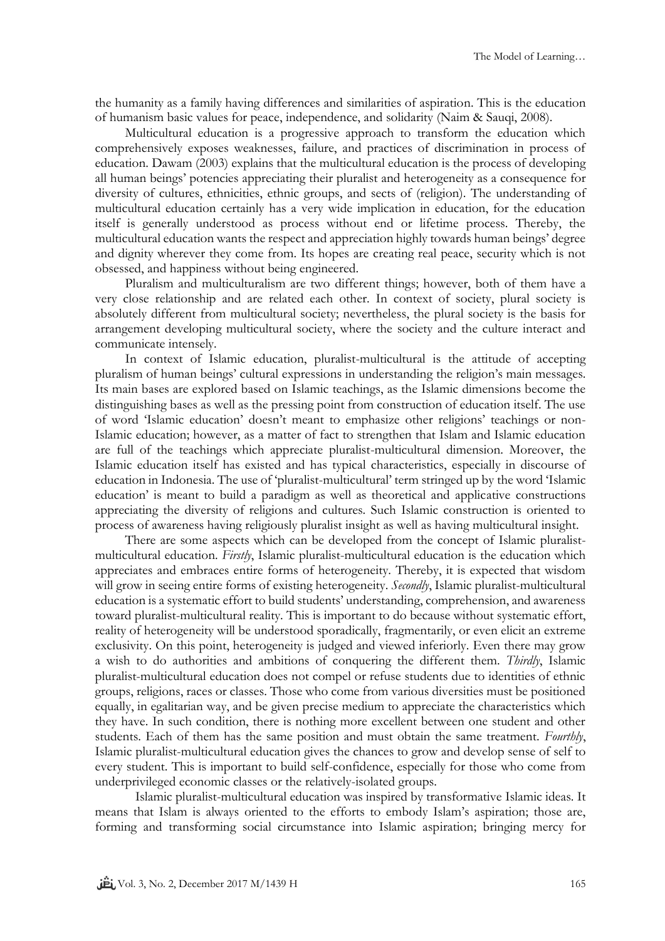the humanity as a family having differences and similarities of aspiration. This is the education of humanism basic values for peace, independence, and solidarity (Naim & Sauqi, 2008).

Multicultural education is a progressive approach to transform the education which comprehensively exposes weaknesses, failure, and practices of discrimination in process of education. Dawam (2003) explains that the multicultural education is the process of developing all human beings' potencies appreciating their pluralist and heterogeneity as a consequence for diversity of cultures, ethnicities, ethnic groups, and sects of (religion). The understanding of multicultural education certainly has a very wide implication in education, for the education itself is generally understood as process without end or lifetime process. Thereby, the multicultural education wants the respect and appreciation highly towards human beings' degree and dignity wherever they come from. Its hopes are creating real peace, security which is not obsessed, and happiness without being engineered.

Pluralism and multiculturalism are two different things; however, both of them have a very close relationship and are related each other. In context of society, plural society is absolutely different from multicultural society; nevertheless, the plural society is the basis for arrangement developing multicultural society, where the society and the culture interact and communicate intensely.

In context of Islamic education, pluralist-multicultural is the attitude of accepting pluralism of human beings' cultural expressions in understanding the religion's main messages. Its main bases are explored based on Islamic teachings, as the Islamic dimensions become the distinguishing bases as well as the pressing point from construction of education itself. The use of word 'Islamic education' doesn't meant to emphasize other religions' teachings or non-Islamic education; however, as a matter of fact to strengthen that Islam and Islamic education are full of the teachings which appreciate pluralist-multicultural dimension. Moreover, the Islamic education itself has existed and has typical characteristics, especially in discourse of education in Indonesia. The use of 'pluralist-multicultural' term stringed up by the word 'Islamic education' is meant to build a paradigm as well as theoretical and applicative constructions appreciating the diversity of religions and cultures. Such Islamic construction is oriented to process of awareness having religiously pluralist insight as well as having multicultural insight.

There are some aspects which can be developed from the concept of Islamic pluralistmulticultural education. *Firstly*, Islamic pluralist-multicultural education is the education which appreciates and embraces entire forms of heterogeneity. Thereby, it is expected that wisdom will grow in seeing entire forms of existing heterogeneity. *Secondly*, Islamic pluralist-multicultural education is a systematic effort to build students' understanding, comprehension, and awareness toward pluralist-multicultural reality. This is important to do because without systematic effort, reality of heterogeneity will be understood sporadically, fragmentarily, or even elicit an extreme exclusivity. On this point, heterogeneity is judged and viewed inferiorly. Even there may grow a wish to do authorities and ambitions of conquering the different them. *Thirdly*, Islamic pluralist-multicultural education does not compel or refuse students due to identities of ethnic groups, religions, races or classes. Those who come from various diversities must be positioned equally, in egalitarian way, and be given precise medium to appreciate the characteristics which they have. In such condition, there is nothing more excellent between one student and other students. Each of them has the same position and must obtain the same treatment. *Fourthly*, Islamic pluralist-multicultural education gives the chances to grow and develop sense of self to every student. This is important to build self-confidence, especially for those who come from underprivileged economic classes or the relatively-isolated groups.

Islamic pluralist-multicultural education was inspired by transformative Islamic ideas. It means that Islam is always oriented to the efforts to embody Islam's aspiration; those are, forming and transforming social circumstance into Islamic aspiration; bringing mercy for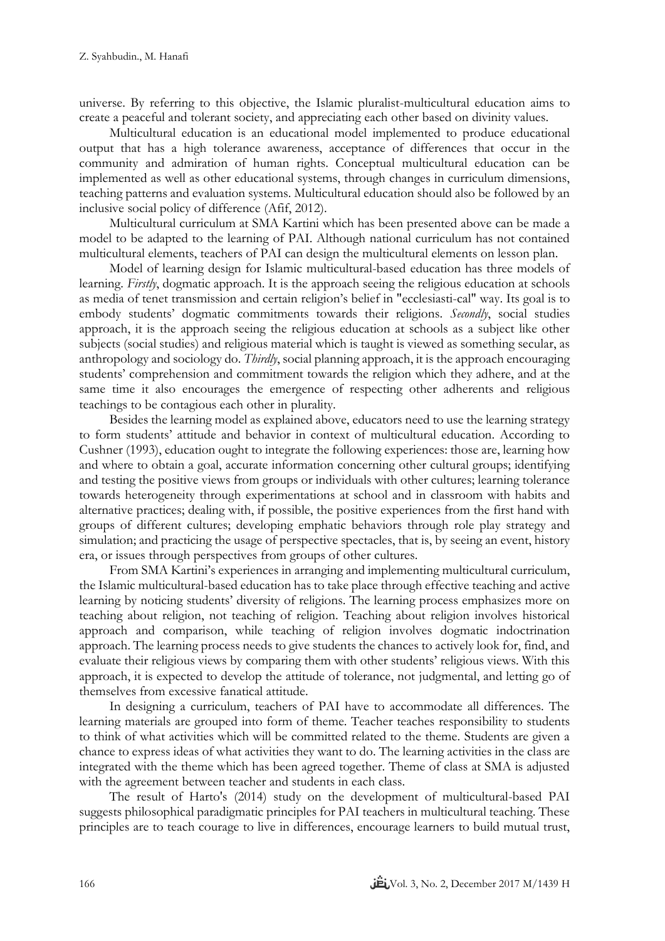universe. By referring to this objective, the Islamic pluralist-multicultural education aims to create a peaceful and tolerant society, and appreciating each other based on divinity values.

Multicultural education is an educational model implemented to produce educational output that has a high tolerance awareness, acceptance of differences that occur in the community and admiration of human rights. Conceptual multicultural education can be implemented as well as other educational systems, through changes in curriculum dimensions, teaching patterns and evaluation systems. Multicultural education should also be followed by an inclusive social policy of difference (Afif, 2012).

Multicultural curriculum at SMA Kartini which has been presented above can be made a model to be adapted to the learning of PAI. Although national curriculum has not contained multicultural elements, teachers of PAI can design the multicultural elements on lesson plan.

Model of learning design for Islamic multicultural-based education has three models of learning. *Firstly*, dogmatic approach. It is the approach seeing the religious education at schools as media of tenet transmission and certain religion's belief in "ecclesiasti-cal" way. Its goal is to embody students' dogmatic commitments towards their religions. *Secondly*, social studies approach, it is the approach seeing the religious education at schools as a subject like other subjects (social studies) and religious material which is taught is viewed as something secular, as anthropology and sociology do. *Thirdly*, social planning approach, it is the approach encouraging students' comprehension and commitment towards the religion which they adhere, and at the same time it also encourages the emergence of respecting other adherents and religious teachings to be contagious each other in plurality.

Besides the learning model as explained above, educators need to use the learning strategy to form students' attitude and behavior in context of multicultural education. According to Cushner (1993), education ought to integrate the following experiences: those are, learning how and where to obtain a goal, accurate information concerning other cultural groups; identifying and testing the positive views from groups or individuals with other cultures; learning tolerance towards heterogeneity through experimentations at school and in classroom with habits and alternative practices; dealing with, if possible, the positive experiences from the first hand with groups of different cultures; developing emphatic behaviors through role play strategy and simulation; and practicing the usage of perspective spectacles, that is, by seeing an event, history era, or issues through perspectives from groups of other cultures.

From SMA Kartini's experiences in arranging and implementing multicultural curriculum, the Islamic multicultural-based education has to take place through effective teaching and active learning by noticing students' diversity of religions. The learning process emphasizes more on teaching about religion, not teaching of religion. Teaching about religion involves historical approach and comparison, while teaching of religion involves dogmatic indoctrination approach. The learning process needs to give students the chances to actively look for, find, and evaluate their religious views by comparing them with other students' religious views. With this approach, it is expected to develop the attitude of tolerance, not judgmental, and letting go of themselves from excessive fanatical attitude.

In designing a curriculum, teachers of PAI have to accommodate all differences. The learning materials are grouped into form of theme. Teacher teaches responsibility to students to think of what activities which will be committed related to the theme. Students are given a chance to express ideas of what activities they want to do. The learning activities in the class are integrated with the theme which has been agreed together. Theme of class at SMA is adjusted with the agreement between teacher and students in each class.

The result of Harto's (2014) study on the development of multicultural-based PAI suggests philosophical paradigmatic principles for PAI teachers in multicultural teaching. These principles are to teach courage to live in differences, encourage learners to build mutual trust,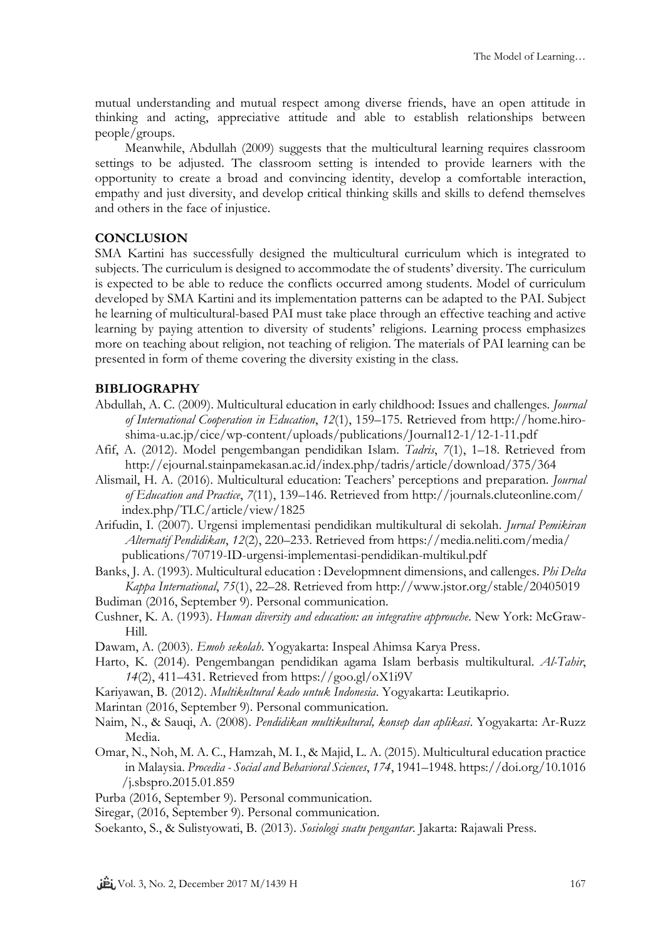mutual understanding and mutual respect among diverse friends, have an open attitude in thinking and acting, appreciative attitude and able to establish relationships between people/groups.

Meanwhile, Abdullah (2009) suggests that the multicultural learning requires classroom settings to be adjusted. The classroom setting is intended to provide learners with the opportunity to create a broad and convincing identity, develop a comfortable interaction, empathy and just diversity, and develop critical thinking skills and skills to defend themselves and others in the face of injustice.

# **CONCLUSION**

SMA Kartini has successfully designed the multicultural curriculum which is integrated to subjects. The curriculum is designed to accommodate the of students' diversity. The curriculum is expected to be able to reduce the conflicts occurred among students. Model of curriculum developed by SMA Kartini and its implementation patterns can be adapted to the PAI. Subject he learning of multicultural-based PAI must take place through an effective teaching and active learning by paying attention to diversity of students' religions. Learning process emphasizes more on teaching about religion, not teaching of religion. The materials of PAI learning can be presented in form of theme covering the diversity existing in the class.

# **BIBLIOGRAPHY**

- Abdullah, A. C. (2009). Multicultural education in early childhood: Issues and challenges. *Journal of International Cooperation in Education*, *12*(1), 159–175. Retrieved from http://home.hiroshima-u.ac.jp/cice/wp-content/uploads/publications/Journal12-1/12-1-11.pdf
- Afif, A. (2012). Model pengembangan pendidikan Islam. *Tadris*, *7*(1), 1–18. Retrieved from http://ejournal.stainpamekasan.ac.id/index.php/tadris/article/download/375/364
- Alismail, H. A. (2016). Multicultural education: Teachers' perceptions and preparation. *Journal of Education and Practice*, *7*(11), 139–146. Retrieved from http://journals.cluteonline.com/ index.php/TLC/article/view/1825
- Arifudin, I. (2007). Urgensi implementasi pendidikan multikultural di sekolah. *Jurnal Pemikiran Alternatif Pendidikan*, *12*(2), 220–233. Retrieved from https://media.neliti.com/media/ publications/70719-ID-urgensi-implementasi-pendidikan-multikul.pdf
- Banks, J. A. (1993). Multicultural education : Developmnent dimensions, and callenges. *Phi Delta Kappa International*, *75*(1), 22–28. Retrieved from http://www.jstor.org/stable/20405019 Budiman (2016, September 9). Personal communication.
- Cushner, K. A. (1993). *Human diversity and education: an integrative approuche*. New York: McGraw-Hill.
- Dawam, A. (2003). *Emoh sekolah*. Yogyakarta: Inspeal Ahimsa Karya Press.
- Harto, K. (2014). Pengembangan pendidikan agama Islam berbasis multikultural. *Al-Tahir*, *14*(2), 411–431. Retrieved from https://goo.gl/oX1i9V
- Kariyawan, B. (2012). *Multikultural kado untuk Indonesia*. Yogyakarta: Leutikaprio.
- Marintan (2016, September 9). Personal communication.
- Naim, N., & Sauqi, A. (2008). *Pendidikan multikultural, konsep dan aplikasi*. Yogyakarta: Ar-Ruzz Media.
- Omar, N., Noh, M. A. C., Hamzah, M. I., & Majid, L. A. (2015). Multicultural education practice in Malaysia. *Procedia - Social and Behavioral Sciences*, *174*, 1941–1948. https://doi.org/10.1016 /j.sbspro.2015.01.859
- Purba (2016, September 9). Personal communication.
- Siregar, (2016, September 9). Personal communication.
- Soekanto, S., & Sulistyowati, B. (2013). *Sosiologi suatu pengantar*. Jakarta: Rajawali Press.